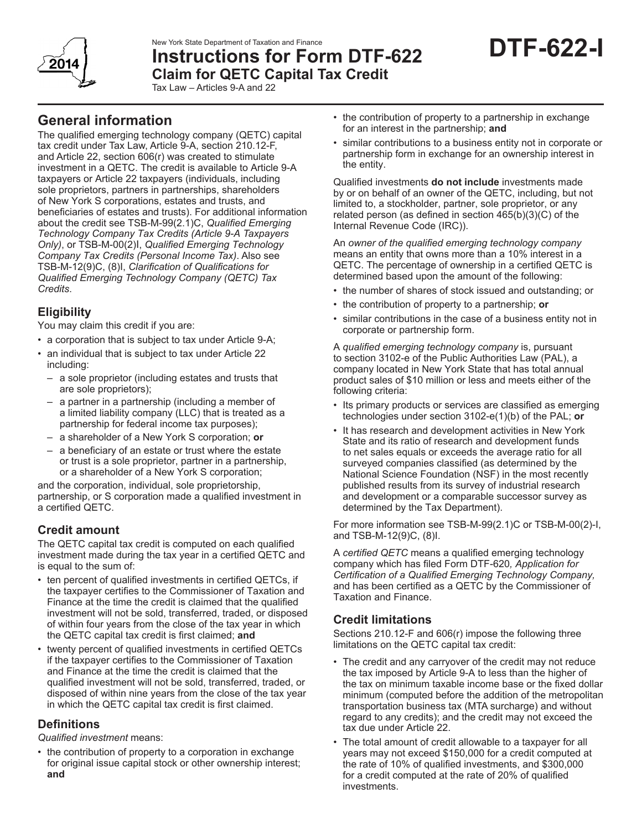New York State Department of Taxation and Finance



# **Instructions for Form DTF-622 Claim for QETC Capital Tax Credit**

Tax Law – Articles 9-A and 22

# **General information**

The qualified emerging technology company (QETC) capital tax credit under Tax Law, Article 9-A, section 210.12-F, and Article 22, section 606(r) was created to stimulate investment in a QETC. The credit is available to Article 9-A taxpayers or Article 22 taxpayers (individuals, including sole proprietors, partners in partnerships, shareholders of New York S corporations, estates and trusts, and beneficiaries of estates and trusts). For additional information about the credit see TSB‑M‑99(2.1)C, *Qualified Emerging Technology Company Tax Credits (Article 9-A Taxpayers Only)*, or TSB-M-00(2)I, *Qualified Emerging Technology Company Tax Credits (Personal Income Tax)*. Also see TSB-M-12(9)C, (8)I, *Clarification of Qualifications for Qualified Emerging Technology Company (QETC) Tax Credits*.

## **Eligibility**

You may claim this credit if you are:

- a corporation that is subject to tax under Article 9-A;
- an individual that is subject to tax under Article 22 including:
	- a sole proprietor (including estates and trusts that are sole proprietors);
	- a partner in a partnership (including a member of a limited liability company (LLC) that is treated as a partnership for federal income tax purposes);
	- a shareholder of a New York S corporation; **or**
	- a beneficiary of an estate or trust where the estate or trust is a sole proprietor, partner in a partnership, or a shareholder of a New York S corporation;

and the corporation, individual, sole proprietorship, partnership, or S corporation made a qualified investment in a certified QETC.

# **Credit amount**

The QETC capital tax credit is computed on each qualified investment made during the tax year in a certified QETC and is equal to the sum of:

- ten percent of qualified investments in certified QETCs, if the taxpayer certifies to the Commissioner of Taxation and Finance at the time the credit is claimed that the qualified investment will not be sold, transferred, traded, or disposed of within four years from the close of the tax year in which the QETC capital tax credit is first claimed; **and**
- twenty percent of qualified investments in certified QETCs if the taxpayer certifies to the Commissioner of Taxation and Finance at the time the credit is claimed that the qualified investment will not be sold, transferred, traded, or disposed of within nine years from the close of the tax year in which the QETC capital tax credit is first claimed.

## **Definitions**

*Qualified investment* means:

• the contribution of property to a corporation in exchange for original issue capital stock or other ownership interest; **and**

- the contribution of property to a partnership in exchange for an interest in the partnership; **and**
- similar contributions to a business entity not in corporate or partnership form in exchange for an ownership interest in the entity.

Qualified investments **do not include** investments made by or on behalf of an owner of the QETC, including, but not limited to, a stockholder, partner, sole proprietor, or any related person (as defined in section 465(b)(3)(C) of the Internal Revenue Code (IRC)).

An *owner of the qualified emerging technology company* means an entity that owns more than a 10% interest in a QETC. The percentage of ownership in a certified QETC is determined based upon the amount of the following:

- the number of shares of stock issued and outstanding; or
- the contribution of property to a partnership; **or**
- similar contributions in the case of a business entity not in corporate or partnership form.

A *qualified emerging technology company* is, pursuant to section 3102-e of the Public Authorities Law (PAL), a company located in New York State that has total annual product sales of \$10 million or less and meets either of the following criteria:

- Its primary products or services are classified as emerging technologies under section 3102-e(1)(b) of the PAL; **or**
- It has research and development activities in New York State and its ratio of research and development funds to net sales equals or exceeds the average ratio for all surveyed companies classified (as determined by the National Science Foundation (NSF) in the most recently published results from its survey of industrial research and development or a comparable successor survey as determined by the Tax Department).

For more information see TSB-M-99(2.1)C or TSB-M-00(2)-I, and TSB-M-12(9)C, (8)I.

A *certified QETC* means a qualified emerging technology company which has filed Form DTF-620*, Application for Certification of a Qualified Emerging Technology Company,* and has been certified as a QETC by the Commissioner of Taxation and Finance.

### **Credit limitations**

Sections 210.12-F and 606(r) impose the following three limitations on the QETC capital tax credit:

- The credit and any carryover of the credit may not reduce the tax imposed by Article 9-A to less than the higher of the tax on minimum taxable income base or the fixed dollar minimum (computed before the addition of the metropolitan transportation business tax (MTA surcharge) and without regard to any credits); and the credit may not exceed the tax due under Article 22.
- The total amount of credit allowable to a taxpayer for all years may not exceed \$150,000 for a credit computed at the rate of 10% of qualified investments, and \$300,000 for a credit computed at the rate of 20% of qualified investments.

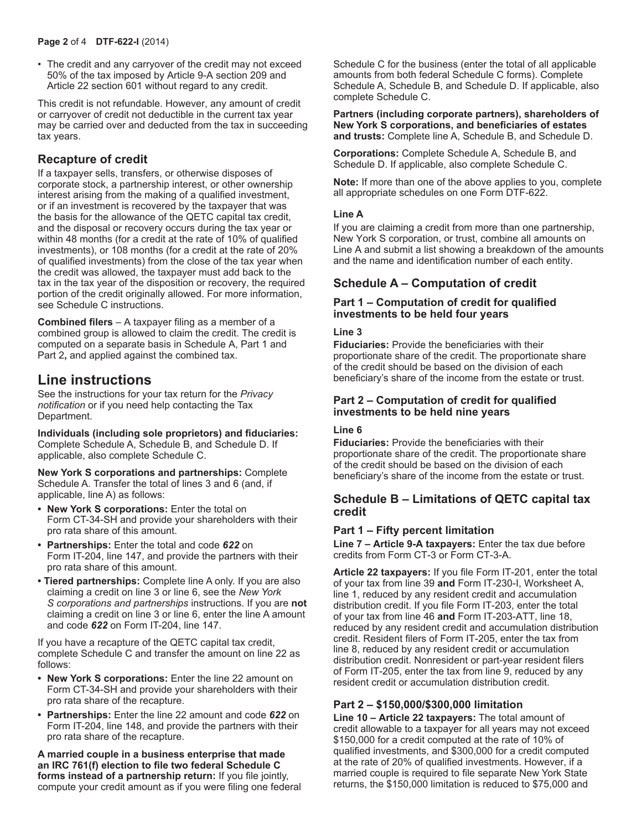• The credit and any carryover of the credit may not exceed 50% of the tax imposed by Article 9-A section 209 and Article 22 section 601 without regard to any credit.

This credit is not refundable. However, any amount of credit or carryover of credit not deductible in the current tax year may be carried over and deducted from the tax in succeeding tax years.

### **Recapture of credit**

If a taxpayer sells, transfers, or otherwise disposes of corporate stock, a partnership interest, or other ownership interest arising from the making of a qualified investment, or if an investment is recovered by the taxpayer that was the basis for the allowance of the QETC capital tax credit, and the disposal or recovery occurs during the tax year or within 48 months (for a credit at the rate of 10% of qualified investments), or 108 months (for a credit at the rate of 20% of qualified investments) from the close of the tax year when the credit was allowed, the taxpayer must add back to the tax in the tax year of the disposition or recovery, the required portion of the credit originally allowed. For more information, see Schedule C instructions.

**Combined filers** – A taxpayer filing as a member of a combined group is allowed to claim the credit. The credit is computed on a separate basis in Schedule A, Part 1 and Part 2**,** and applied against the combined tax.

# **Line instructions**

See the instructions for your tax return for the *Privacy notification* or if you need help contacting the Tax Department.

**Individuals (including sole proprietors) and fiduciaries:** Complete Schedule A, Schedule B, and Schedule D. If applicable, also complete Schedule C.

**New York S corporations and partnerships:** Complete Schedule A. Transfer the total of lines 3 and 6 (and, if applicable, line A) as follows:

- **• New York S corporations:** Enter the total on Form CT-34-SH and provide your shareholders with their pro rata share of this amount.
- **• Partnerships:** Enter the total and code *622* on Form IT-204, line 147, and provide the partners with their pro rata share of this amount.
- **Tiered partnerships:** Complete line A only. If you are also claiming a credit on line 3 or line 6, see the *New York S corporations and partnerships* instructions. If you are **not** claiming a credit on line 3 or line 6, enter the line A amount and code *622* on Form IT-204, line 147.

If you have a recapture of the QETC capital tax credit, complete Schedule C and transfer the amount on line 22 as follows:

- **• New York S corporations:** Enter the line 22 amount on Form CT-34-SH and provide your shareholders with their pro rata share of the recapture.
- **• Partnerships:** Enter the line 22 amount and code *622* on Form IT-204, line 148, and provide the partners with their pro rata share of the recapture.

**A married couple in a business enterprise that made an IRC 761(f) election to file two federal Schedule C forms instead of a partnership return:** If you file jointly, compute your credit amount as if you were filing one federal Schedule C for the business (enter the total of all applicable amounts from both federal Schedule C forms). Complete Schedule A, Schedule B, and Schedule D. If applicable, also complete Schedule C.

#### **Partners (including corporate partners), shareholders of New York S corporations, and beneficiaries of estates and trusts:** Complete line A, Schedule B, and Schedule D.

**Corporations:** Complete Schedule A, Schedule B, and Schedule D. If applicable, also complete Schedule C.

**Note:** If more than one of the above applies to you, complete all appropriate schedules on one Form DTF-622.

#### **Line A**

If you are claiming a credit from more than one partnership, New York S corporation, or trust, combine all amounts on Line A and submit a list showing a breakdown of the amounts and the name and identification number of each entity.

### **Schedule A – Computation of credit**

#### **Part 1 – Computation of credit for qualified investments to be held four years**

#### **Line 3**

**Fiduciaries:** Provide the beneficiaries with their proportionate share of the credit. The proportionate share of the credit should be based on the division of each beneficiary's share of the income from the estate or trust.

#### **Part 2 – Computation of credit for qualified investments to be held nine years**

#### **Line 6**

**Fiduciaries:** Provide the beneficiaries with their proportionate share of the credit. The proportionate share of the credit should be based on the division of each beneficiary's share of the income from the estate or trust.

#### **Schedule B – Limitations of QETC capital tax credit**

#### **Part 1 – Fifty percent limitation**

**Line 7 – Article 9‑A taxpayers:** Enter the tax due before credits from Form CT‑3 or Form CT‑3‑A.

**Article 22 taxpayers:** If you file Form IT‑201, enter the total of your tax from line 39 **and** Form IT‑230-I, Worksheet A, line 1, reduced by any resident credit and accumulation distribution credit. If you file Form IT‑203, enter the total of your tax from line 46 **and** Form IT‑203‑ATT, line 18, reduced by any resident credit and accumulation distribution credit. Resident filers of Form IT‑205, enter the tax from line 8, reduced by any resident credit or accumulation distribution credit. Nonresident or part-year resident filers of Form IT‑205, enter the tax from line 9, reduced by any resident credit or accumulation distribution credit.

#### **Part 2 – \$150,000/\$300,000 limitation**

**Line 10 – Article 22 taxpayers:** The total amount of credit allowable to a taxpayer for all years may not exceed \$150,000 for a credit computed at the rate of 10% of qualified investments, and \$300,000 for a credit computed at the rate of 20% of qualified investments. However, if a married couple is required to file separate New York State returns, the \$150,000 limitation is reduced to \$75,000 and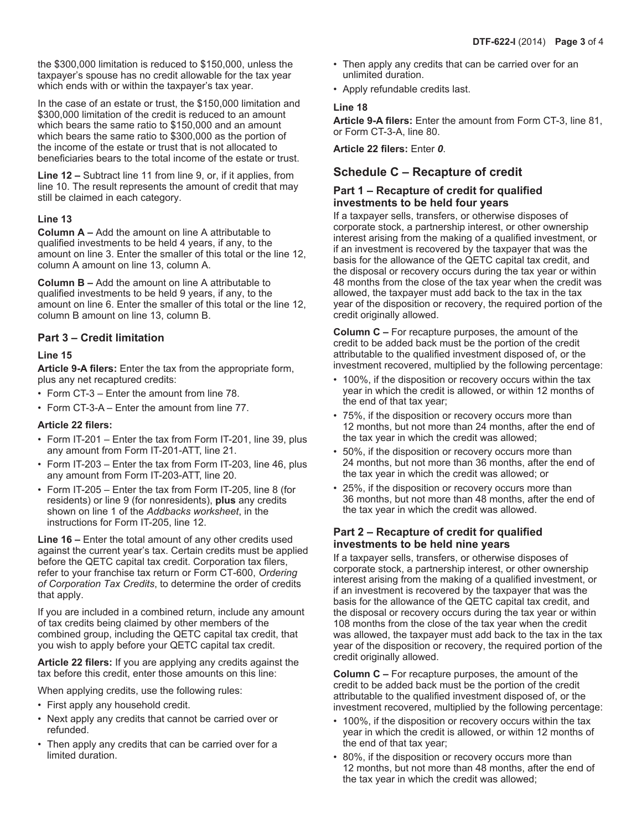the \$300,000 limitation is reduced to \$150,000, unless the taxpayer's spouse has no credit allowable for the tax year which ends with or within the taxpayer's tax year.

In the case of an estate or trust, the \$150,000 limitation and \$300,000 limitation of the credit is reduced to an amount which bears the same ratio to \$150,000 and an amount which bears the same ratio to \$300,000 as the portion of the income of the estate or trust that is not allocated to beneficiaries bears to the total income of the estate or trust.

**Line 12 –** Subtract line 11 from line 9, or, if it applies, from line 10. The result represents the amount of credit that may still be claimed in each category.

#### **Line 13**

**Column A –** Add the amount on line A attributable to qualified investments to be held 4 years, if any, to the amount on line 3. Enter the smaller of this total or the line 12, column A amount on line 13, column A.

**Column B –** Add the amount on line A attributable to qualified investments to be held 9 years, if any, to the amount on line 6. Enter the smaller of this total or the line 12, column B amount on line 13, column B.

#### **Part 3 – Credit limitation**

#### **Line 15**

**Article 9-A filers:** Enter the tax from the appropriate form, plus any net recaptured credits:

- Form CT-3 Enter the amount from line 78.
- Form CT-3-A Enter the amount from line 77.

#### **Article 22 filers:**

- Form IT-201 Enter the tax from Form IT-201, line 39, plus any amount from Form IT-201-ATT, line 21.
- Form IT-203 Enter the tax from Form IT-203, line 46, plus any amount from Form IT-203-ATT, line 20.
- Form IT-205 Enter the tax from Form IT-205, line 8 (for residents) or line 9 (for nonresidents), **plus** any credits shown on line 1 of the *Addbacks worksheet*, in the instructions for Form IT-205, line 12.

**Line 16 –** Enter the total amount of any other credits used against the current year's tax. Certain credits must be applied before the QETC capital tax credit. Corporation tax filers, refer to your franchise tax return or Form CT-600, *Ordering of Corporation Tax Credits*, to determine the order of credits that apply.

If you are included in a combined return, include any amount of tax credits being claimed by other members of the combined group, including the QETC capital tax credit, that you wish to apply before your QETC capital tax credit.

**Article 22 filers:** If you are applying any credits against the tax before this credit, enter those amounts on this line:

When applying credits, use the following rules:

- First apply any household credit.
- Next apply any credits that cannot be carried over or refunded.
- Then apply any credits that can be carried over for a limited duration.
- Then apply any credits that can be carried over for an unlimited duration.
- Apply refundable credits last.

#### **Line 18**

**Article 9-A filers:** Enter the amount from Form CT-3, line 81, or Form CT-3-A, line 80.

**Article 22 filers:** Enter *0*.

### **Schedule C – Recapture of credit**

#### **Part 1 – Recapture of credit for qualified investments to be held four years**

If a taxpayer sells, transfers, or otherwise disposes of corporate stock, a partnership interest, or other ownership interest arising from the making of a qualified investment, or if an investment is recovered by the taxpayer that was the basis for the allowance of the QETC capital tax credit, and the disposal or recovery occurs during the tax year or within 48 months from the close of the tax year when the credit was allowed, the taxpayer must add back to the tax in the tax year of the disposition or recovery, the required portion of the credit originally allowed.

**Column C –** For recapture purposes, the amount of the credit to be added back must be the portion of the credit attributable to the qualified investment disposed of, or the investment recovered, multiplied by the following percentage:

- 100%, if the disposition or recovery occurs within the tax year in which the credit is allowed, or within 12 months of the end of that tax year;
- 75%, if the disposition or recovery occurs more than 12 months, but not more than 24 months, after the end of the tax year in which the credit was allowed;
- 50%, if the disposition or recovery occurs more than 24 months, but not more than 36 months, after the end of the tax year in which the credit was allowed; or
- 25%, if the disposition or recovery occurs more than 36 months, but not more than 48 months, after the end of the tax year in which the credit was allowed.

#### **Part 2 – Recapture of credit for qualified investments to be held nine years**

If a taxpayer sells, transfers, or otherwise disposes of corporate stock, a partnership interest, or other ownership interest arising from the making of a qualified investment, or if an investment is recovered by the taxpayer that was the basis for the allowance of the QETC capital tax credit, and the disposal or recovery occurs during the tax year or within 108 months from the close of the tax year when the credit was allowed, the taxpayer must add back to the tax in the tax year of the disposition or recovery, the required portion of the credit originally allowed.

**Column C –** For recapture purposes, the amount of the credit to be added back must be the portion of the credit attributable to the qualified investment disposed of, or the investment recovered, multiplied by the following percentage:

- 100%, if the disposition or recovery occurs within the tax year in which the credit is allowed, or within 12 months of the end of that tax year;
- 80%, if the disposition or recovery occurs more than 12 months, but not more than 48 months, after the end of the tax year in which the credit was allowed;